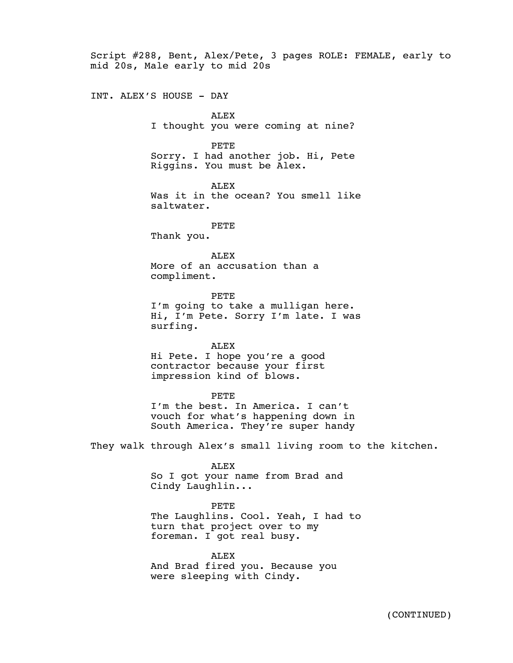Script #288, Bent, Alex/Pete, 3 pages ROLE: FEMALE, early to mid 20s, Male early to mid 20s

INT. ALEX'S HOUSE - DAY

ALEX I thought you were coming at nine?

PETE

Sorry. I had another job. Hi, Pete Riggins. You must be Alex.

ALEX

Was it in the ocean? You smell like saltwater.

PETE Thank you.

ALEX More of an accusation than a compliment.

PETE I'm going to take a mulligan here. Hi, I'm Pete. Sorry I'm late. I was surfing.

ALEX Hi Pete. I hope you're a good contractor because your first impression kind of blows.

PETE I'm the best. In America. I can't vouch for what's happening down in South America. They're super handy

They walk through Alex's small living room to the kitchen.

ALEX So I got your name from Brad and Cindy Laughlin...

PETE The Laughlins. Cool. Yeah, I had to turn that project over to my foreman. I got real busy.

ALEX And Brad fired you. Because you were sleeping with Cindy.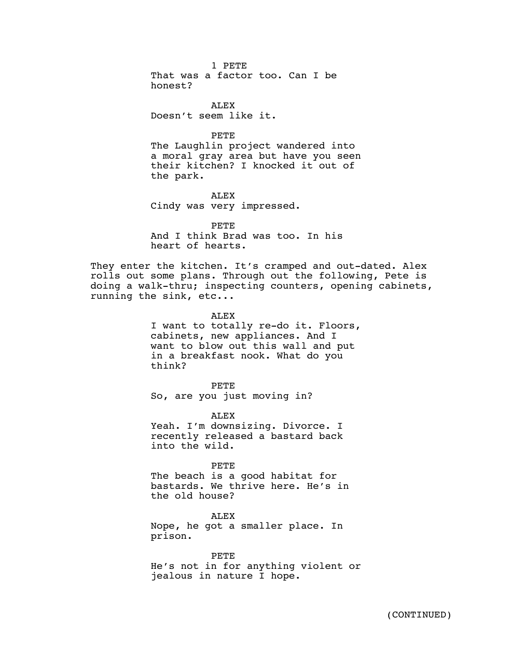1 PETE That was a factor too. Can I be honest?

ALEX Doesn't seem like it.

PETE

The Laughlin project wandered into a moral gray area but have you seen their kitchen? I knocked it out of the park.

ALEX Cindy was very impressed.

PETE And I think Brad was too. In his heart of hearts.

They enter the kitchen. It's cramped and out-dated. Alex rolls out some plans. Through out the following, Pete is doing a walk-thru; inspecting counters, opening cabinets, running the sink, etc...

ALEX

I want to totally re-do it. Floors, cabinets, new appliances. And I want to blow out this wall and put in a breakfast nook. What do you think?

PETE So, are you just moving in?

ALEX

Yeah. I'm downsizing. Divorce. I recently released a bastard back into the wild.

PETE

The beach is a good habitat for bastards. We thrive here. He's in the old house?

ALEX Nope, he got a smaller place. In prison.

PETE He's not in for anything violent or jealous in nature I hope.